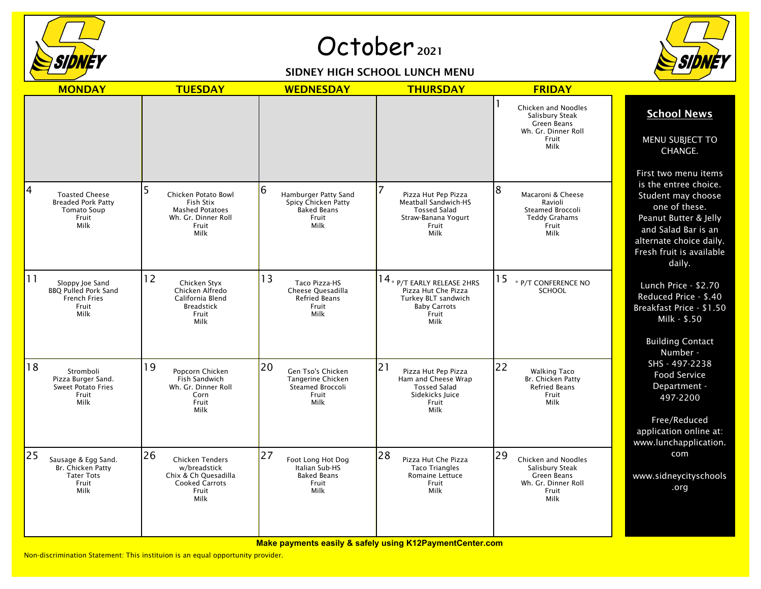

## October<sub>2021</sub>

## SIDNEY HIGH SCHOOL LUNCH MENU



|    | <b>MONDAY</b>                                                                             | <b>TUESDAY</b>                                                                                                 | <b>WEDNESDAY</b>                                                                   | <b>THURSDAY</b>                                                                                                       | <b>FRIDAY</b>                                                                                       |                                                                                                                                                                                                       |
|----|-------------------------------------------------------------------------------------------|----------------------------------------------------------------------------------------------------------------|------------------------------------------------------------------------------------|-----------------------------------------------------------------------------------------------------------------------|-----------------------------------------------------------------------------------------------------|-------------------------------------------------------------------------------------------------------------------------------------------------------------------------------------------------------|
|    |                                                                                           |                                                                                                                |                                                                                    |                                                                                                                       | Chicken and Noodles<br>Salisbury Steak<br>Green Beans<br>Wh. Gr. Dinner Roll<br>Fruit<br>Milk       | <b>School News</b><br>MENU SUBJECT TO<br>CHANGE.                                                                                                                                                      |
| 4  | <b>Toasted Cheese</b><br><b>Breaded Pork Patty</b><br><b>Tomato Soup</b><br>Fruit<br>Milk | Chicken Potato Bowl<br>Fish Stix<br><b>Mashed Potatoes</b><br>Wh. Gr. Dinner Roll<br>Fruit<br>Milk             | Hamburger Patty Sand<br>Spicy Chicken Patty<br><b>Baked Beans</b><br>Fruit<br>Milk | 7<br>Pizza Hut Pep Pizza<br>Meatball Sandwich-HS<br><b>Tossed Salad</b><br>Straw-Banana Yogurt<br>Fruit<br>Milk       | 8<br>Macaroni & Cheese<br>Ravioli<br>Steamed Broccoli<br><b>Teddy Grahams</b><br>Fruit<br>Milk      | First two menu items<br>is the entree choice.<br>Student may choose<br>one of these.<br>Peanut Butter & Jelly<br>and Salad Bar is an<br>alternate choice daily.<br>Fresh fruit is available<br>daily. |
| 11 | Sloppy Joe Sand<br><b>BBQ Pulled Pork Sand</b><br><b>French Fries</b><br>Fruit<br>Milk    | 12<br>Chicken Styx<br>Chicken Alfredo<br>California Blend<br><b>Breadstick</b><br>Fruit<br>Milk                | 13<br>Taco Pizza-HS<br>Cheese Quesadilla<br><b>Refried Beans</b><br>Fruit<br>Milk  | $14$ * $p/T$ early release 2HRS<br>Pizza Hut Che Pizza<br>Turkey BLT sandwich<br><b>Baby Carrots</b><br>Fruit<br>Milk | 15<br>* P/T CONFERENCE NO<br><b>SCHOOL</b>                                                          | Lunch Price - \$2.70<br>Reduced Price - \$.40<br>Breakfast Price - \$1.50<br>Milk - \$.50<br><b>Building Contact</b><br>Number -                                                                      |
| 18 | Stromboli<br>Pizza Burger Sand.<br><b>Sweet Potato Fries</b><br>Fruit<br>Milk             | 19<br>Popcorn Chicken<br>Fish Sandwich<br>Wh. Gr. Dinner Roll<br>Corn<br>Fruit<br>Milk                         | 20<br>Gen Tso's Chicken<br>Tangerine Chicken<br>Steamed Broccoli<br>Fruit<br>Milk  | 21<br>Pizza Hut Pep Pizza<br>Ham and Cheese Wrap<br><b>Tossed Salad</b><br>Sidekicks Juice<br>Fruit<br>Milk           | 22<br><b>Walking Taco</b><br>Br. Chicken Patty<br><b>Refried Beans</b><br>Fruit<br>Milk             | SHS - 497-2238<br>Food Service<br>Department -<br>497-2200<br>Free/Reduced<br>application online at:<br>www.lunchapplication.                                                                         |
| 25 | Sausage & Egg Sand.<br>Br. Chicken Patty<br><b>Tater Tots</b><br>Fruit<br>Milk            | 26<br><b>Chicken Tenders</b><br>w/breadstick<br>Chix & Ch Quesadilla<br><b>Cooked Carrots</b><br>Fruit<br>Milk | 27<br>Foot Long Hot Dog<br>Italian Sub-HS<br><b>Baked Beans</b><br>Fruit<br>Milk   | 28<br>Pizza Hut Che Pizza<br><b>Taco Triangles</b><br><b>Romaine Lettuce</b><br>Fruit<br>Milk                         | 29<br>Chicken and Noodles<br>Salisbury Steak<br>Green Beans<br>Wh. Gr. Dinner Roll<br>Fruit<br>Milk | com<br>www.sidneycityschools<br>.org                                                                                                                                                                  |

**Make payments easily & safely using K12PaymentCenter.com**

Non-discrimination Statement: This instituion is an equal opportunity provider.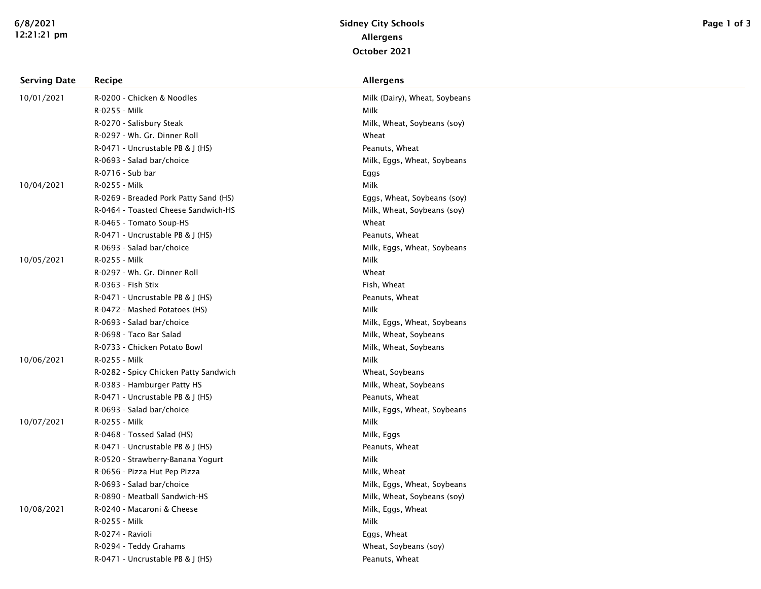| <b>Serving Date</b> | Recipe                                | <b>Allergens</b>              |
|---------------------|---------------------------------------|-------------------------------|
| 10/01/2021          | R-0200 - Chicken & Noodles            | Milk (Dairy), Wheat, Soybeans |
|                     | R-0255 - Milk                         | Milk                          |
|                     | R-0270 - Salisbury Steak              | Milk, Wheat, Soybeans (soy)   |
|                     | R-0297 - Wh. Gr. Dinner Roll          | Wheat                         |
|                     | R-0471 - Uncrustable PB & J (HS)      | Peanuts, Wheat                |
|                     | R-0693 - Salad bar/choice             | Milk, Eggs, Wheat, Soybeans   |
|                     | R-0716 - Sub bar                      | Eggs                          |
| 10/04/2021          | R-0255 - Milk                         | Milk                          |
|                     | R-0269 - Breaded Pork Patty Sand (HS) | Eggs, Wheat, Soybeans (soy)   |
|                     | R-0464 - Toasted Cheese Sandwich-HS   | Milk, Wheat, Soybeans (soy)   |
|                     | R-0465 - Tomato Soup-HS               | Wheat                         |
|                     | R-0471 - Uncrustable PB & J (HS)      | Peanuts, Wheat                |
|                     | R-0693 - Salad bar/choice             | Milk, Eggs, Wheat, Soybeans   |
| 10/05/2021          | R-0255 - Milk                         | Milk                          |
|                     | R-0297 - Wh. Gr. Dinner Roll          | Wheat                         |
|                     | R-0363 - Fish Stix                    | Fish, Wheat                   |
|                     | R-0471 - Uncrustable PB & J (HS)      | Peanuts, Wheat                |
|                     | R-0472 - Mashed Potatoes (HS)         | Milk                          |
|                     | R-0693 - Salad bar/choice             | Milk, Eggs, Wheat, Soybeans   |
|                     | R-0698 - Taco Bar Salad               | Milk, Wheat, Soybeans         |
|                     | R-0733 - Chicken Potato Bowl          | Milk, Wheat, Soybeans         |
| 10/06/2021          | R-0255 - Milk                         | Milk                          |
|                     | R-0282 - Spicy Chicken Patty Sandwich | Wheat, Soybeans               |
|                     | R-0383 - Hamburger Patty HS           | Milk, Wheat, Soybeans         |
|                     | R-0471 - Uncrustable PB & J (HS)      | Peanuts, Wheat                |
|                     | R-0693 - Salad bar/choice             | Milk, Eggs, Wheat, Soybeans   |
| 10/07/2021          | R-0255 - Milk                         | Milk                          |
|                     | R-0468 - Tossed Salad (HS)            | Milk, Eggs                    |
|                     | R-0471 - Uncrustable PB & J (HS)      | Peanuts, Wheat                |
|                     | R-0520 - Strawberry-Banana Yogurt     | Milk                          |
|                     | R-0656 - Pizza Hut Pep Pizza          | Milk, Wheat                   |
|                     | R-0693 - Salad bar/choice             | Milk, Eggs, Wheat, Soybeans   |
|                     | R-0890 - Meatball Sandwich-HS         | Milk, Wheat, Soybeans (soy)   |
| 10/08/2021          | R-0240 - Macaroni & Cheese            | Milk, Eggs, Wheat             |
|                     | R-0255 - Milk                         | Milk                          |
|                     | R-0274 - Ravioli                      | Eggs, Wheat                   |
|                     | R-0294 - Teddy Grahams                | Wheat, Soybeans (soy)         |
|                     | R-0471 - Uncrustable PB & J (HS)      | Peanuts, Wheat                |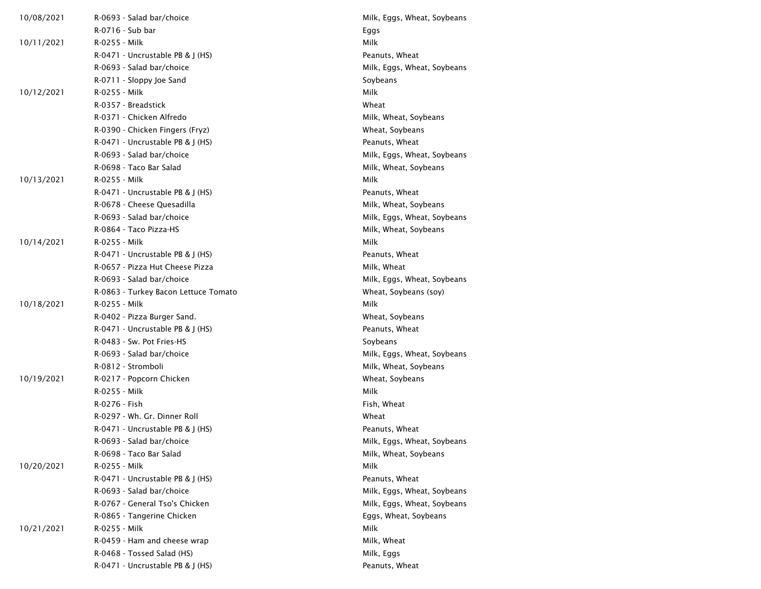| 10/08/2021 | R-0693 - Salad bar/choice            | Milk, Eggs, Wheat, Soybeans |
|------------|--------------------------------------|-----------------------------|
|            | R-0716 - Sub bar                     | Eggs                        |
| 10/11/2021 | R-0255 - Milk                        | Milk                        |
|            | R-0471 - Uncrustable PB & J (HS)     | Peanuts, Wheat              |
|            | R-0693 - Salad bar/choice            | Milk, Eggs, Wheat, Soybeans |
|            | R-0711 - Sloppy Joe Sand             | Soybeans                    |
| 10/12/2021 | R-0255 - Milk                        | Milk                        |
|            | R-0357 - Breadstick                  | Wheat                       |
|            | R-0371 - Chicken Alfredo             | Milk, Wheat, Soybeans       |
|            | R-0390 - Chicken Fingers (Fryz)      | Wheat, Soybeans             |
|            | R-0471 - Uncrustable PB & J (HS)     | Peanuts, Wheat              |
|            | R-0693 - Salad bar/choice            | Milk, Eggs, Wheat, Soybeans |
|            | R-0698 - Taco Bar Salad              | Milk, Wheat, Soybeans       |
| 10/13/2021 | R-0255 - Milk                        | Milk                        |
|            | R-0471 - Uncrustable PB & J (HS)     | Peanuts, Wheat              |
|            | R-0678 - Cheese Quesadilla           | Milk, Wheat, Soybeans       |
|            | R-0693 - Salad bar/choice            | Milk, Eggs, Wheat, Soybeans |
|            | R-0864 - Taco Pizza-HS               | Milk, Wheat, Soybeans       |
| 10/14/2021 | R-0255 - Milk                        | Milk                        |
|            | R-0471 - Uncrustable PB & J (HS)     | Peanuts, Wheat              |
|            | R-0657 - Pizza Hut Cheese Pizza      | Milk, Wheat                 |
|            | R-0693 - Salad bar/choice            | Milk, Eggs, Wheat, Soybeans |
|            | R-0863 - Turkey Bacon Lettuce Tomato | Wheat, Soybeans (soy)       |
| 10/18/2021 | R-0255 - Milk                        | Milk                        |
|            | R-0402 - Pizza Burger Sand.          | Wheat, Soybeans             |
|            | $R-0471$ - Uncrustable PB & J (HS)   | Peanuts, Wheat              |
|            | R-0483 - Sw. Pot Fries-HS            | Soybeans                    |
|            | R-0693 - Salad bar/choice            | Milk, Eggs, Wheat, Soybeans |
|            | R-0812 - Stromboli                   | Milk, Wheat, Soybeans       |
| 10/19/2021 | R-0217 - Popcorn Chicken             | Wheat, Soybeans             |
|            | R-0255 - Milk                        | Milk                        |
|            | R-0276 - Fish                        | Fish, Wheat                 |
|            | R-0297 - Wh. Gr. Dinner Roll         | Wheat                       |
|            | R-0471 - Uncrustable PB & J (HS)     | Peanuts, Wheat              |
|            | R-0693 - Salad bar/choice            | Milk, Eggs, Wheat, Soybeans |
|            | R-0698 - Taco Bar Salad              | Milk, Wheat, Soybeans       |
| 10/20/2021 | R-0255 - Milk                        | Milk                        |
|            | R-0471 - Uncrustable PB & J (HS)     | Peanuts, Wheat              |
|            | R-0693 - Salad bar/choice            | Milk, Eggs, Wheat, Soybeans |
|            | R-0767 - General Tso's Chicken       | Milk, Eggs, Wheat, Soybeans |
|            | R-0865 - Tangerine Chicken           | Eggs, Wheat, Soybeans       |
| 10/21/2021 | R-0255 - Milk                        | Milk                        |
|            | R-0459 - Ham and cheese wrap         | Milk, Wheat                 |
|            | R-0468 - Tossed Salad (HS)           | Milk, Eggs                  |
|            | R-0471 - Uncrustable PB & J (HS)     | Peanuts, Wheat              |